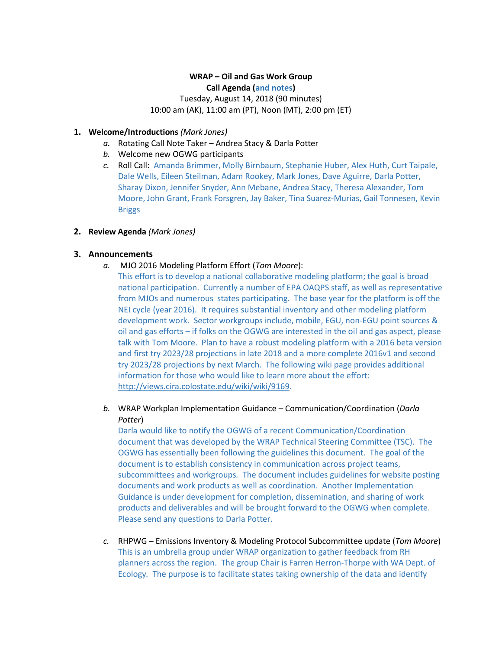# **WRAP – Oil and Gas Work Group Call Agenda (and notes)** Tuesday, August 14, 2018 (90 minutes) 10:00 am (AK), 11:00 am (PT), Noon (MT), 2:00 pm (ET)

**1. Welcome/Introductions** *(Mark Jones)* 

- *a.* Rotating Call Note Taker Andrea Stacy & Darla Potter
- *b.* Welcome new OGWG participants
- *c.* Roll Call: Amanda Brimmer, Molly Birnbaum, Stephanie Huber, Alex Huth, Curt Taipale, Dale Wells, Eileen Steilman, Adam Rookey, Mark Jones, Dave Aguirre, Darla Potter, Sharay Dixon, Jennifer Snyder, Ann Mebane, Andrea Stacy, Theresa Alexander, Tom Moore, John Grant, Frank Forsgren, Jay Baker, Tina Suarez-Murias, Gail Tonnesen, Kevin Briggs

## **2. Review Agenda** *(Mark Jones)*

## **3. Announcements**

- *a.* MJO 2016 Modeling Platform Effort (*Tom Moore*):
	- This effort is to develop a national collaborative modeling platform; the goal is broad national participation. Currently a number of EPA OAQPS staff, as well as representative from MJOs and numerous states participating. The base year for the platform is off the NEI cycle (year 2016). It requires substantial inventory and other modeling platform development work.Sector workgroups include, mobile, EGU, non-EGU point sources & oil and gas efforts – if folks on the OGWG are interested in the oil and gas aspect, please talk with Tom Moore. Plan to have a robust modeling platform with a 2016 beta version and first try 2023/28 projections in late 2018 and a more complete 2016v1 and second try 2023/28 projections by next March. The following wiki page provides additional information for those who would like to learn more about the effort: [http://views.cira.colostate.edu/wiki/wiki/9169.](http://views.cira.colostate.edu/wiki/wiki/9169)
- *b.* WRAP Workplan Implementation Guidance Communication/Coordination (*Darla Potter*)

Darla would like to notify the OGWG of a recent Communication/Coordination document that was developed by the WRAP Technical Steering Committee (TSC). The OGWG has essentially been following the guidelines this document. The goal of the document is to establish consistency in communication across project teams, subcommittees and workgroups*.* The document includes guidelines for website posting documents and work products as well as coordination. Another Implementation Guidance is under development for completion, dissemination, and sharing of work products and deliverables and will be brought forward to the OGWG when complete. Please send any questions to Darla Potter.

*c.* RHPWG – Emissions Inventory & Modeling Protocol Subcommittee update (*Tom Moore*) This is an umbrella group under WRAP organization to gather feedback from RH planners across the region. The group Chair is Farren Herron-Thorpe with WA Dept. of Ecology*.* The purpose is to facilitate states taking ownership of the data and identify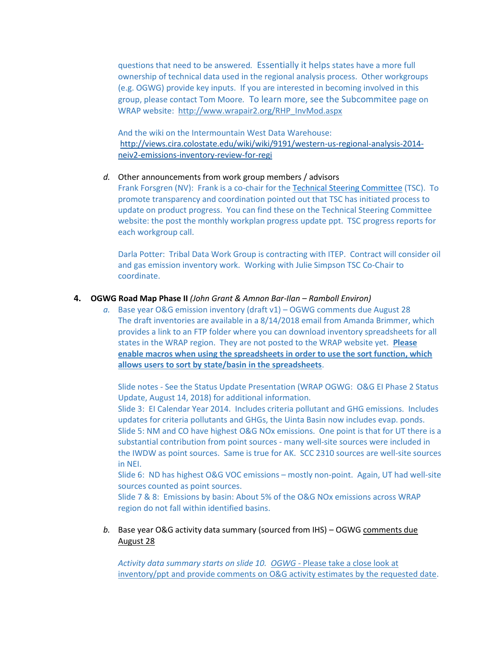questions that need to be answered*.* Essentially it helps states have a more full ownership of technical data used in the regional analysis process.Other workgroups (e.g. OGWG) provide key inputs.If you are interested in becoming involved in this group, please contact Tom Moore*.* To learn more, see the Subcommitee page on WRAP website: [http://www.wrapair2.org/RHP\\_InvMod.aspx](http://www.wrapair2.org/RHP_InvMod.aspx)

And the wiki on the Intermountain West Data Warehouse: [http://views.cira.colostate.edu/wiki/wiki/9191/western-us-regional-analysis-2014](http://views.cira.colostate.edu/wiki/wiki/9191/western-us-regional-analysis-2014-neiv2-emissions-inventory-review-for-regi) [neiv2-emissions-inventory-review-for-regi](http://views.cira.colostate.edu/wiki/wiki/9191/western-us-regional-analysis-2014-neiv2-emissions-inventory-review-for-regi)

*d.* Other announcements from work group members / advisors

Frank Forsgren (NV): Frank is a co-chair for the Technical [Steering Committee](http://www.wrapair2.org/TSC.aspx) (TSC). To promote transparency and coordination pointed out that TSC has initiated process to update on product progress. You can find these on the Technical Steering Committee website: the post the monthly workplan progress update ppt. TSC progress reports for each workgroup call.

Darla Potter: Tribal Data Work Group is contracting with ITEP. Contract will consider oil and gas emission inventory work. Working with Julie Simpson TSC Co-Chair to coordinate.

#### **4. OGWG Road Map Phase II** *(John Grant & Amnon Bar-Ilan – Ramboll Environ)*

*a.* Base year O&G emission inventory (draft v1) – OGWG comments due August 28 The draft inventories are available in a 8/14/2018 email from Amanda Brimmer, which provides a link to an FTP folder where you can download inventory spreadsheets for all states in the WRAP region. They are not posted to the WRAP website yet. **Please enable macros when using the spreadsheets in order to use the sort function, which allows users to sort by state/basin in the spreadsheets**.

Slide notes - See the Status Update Presentation (WRAP OGWG: O&G EI Phase 2 Status Update, August 14, 2018) for additional information.

Slide 3: EI Calendar Year 2014. Includes criteria pollutant and GHG emissions.Includes updates for criteria pollutants and GHGs, the Uinta Basin now includes evap. ponds. Slide 5: NM and CO have highest O&G NOx emissions. One point is that for UT there is a substantial contribution from point sources - many well-site sources were included in the IWDW as point sources. Same is true for AK.SCC 2310 sources are well-site sources in NEI.

Slide 6: ND has highest O&G VOC emissions – mostly non-point. Again, UT had well-site sources counted as point sources.

Slide 7 & 8: Emissions by basin: About 5% of the O&G NOx emissions across WRAP region do not fall within identified basins.

*b.* Base year O&G activity data summary (sourced from IHS) – OGWG comments due August 28

*Activity data summary starts on slide 10. OGWG -* Please take a close look at inventory/ppt and provide comments on O&G activity estimates by the requested date.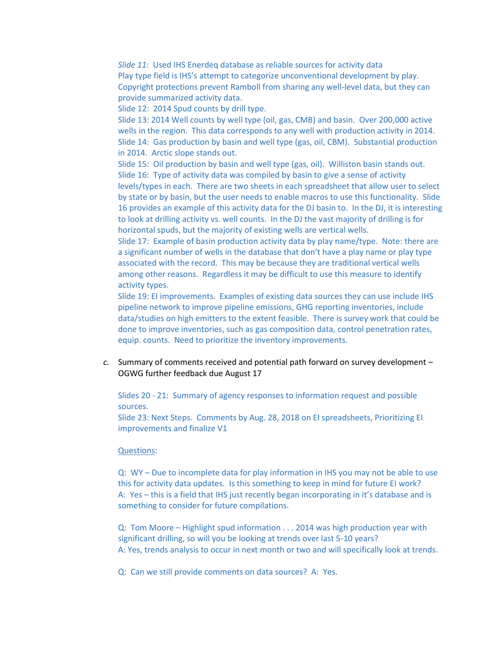*Slide 11*: Used IHS Enerdeq database as reliable sources for activity data Play type field is IHS's attempt to categorize unconventional development by play. Copyright protections prevent Ramboll from sharing any well-level data, but they can provide summarized activity data.

Slide 12: 2014 Spud counts by drill type.

Slide 13: 2014 Well counts by well type (oil, gas, CMB) and basin. Over 200,000 active wells in the region. This data corresponds to any well with production activity in 2014. Slide 14: Gas production by basin and well type (gas, oil, CBM). Substantial production in 2014. Arctic slope stands out.

Slide 15: Oil production by basin and well type (gas, oil). Williston basin stands out. Slide 16: Type of activity data was compiled by basin to give a sense of activity levels/types in each. There are two sheets in each spreadsheet that allow user to select by state or by basin, but the user needs to enable macros to use this functionality.Slide 16 provides an example of this activity data for the DJ basin to. In the DJ, it is interesting to look at drilling activity vs. well counts. In the DJ the vast majority of drilling is for horizontal spuds, but the majority of existing wells are vertical wells.

Slide 17: Example of basin production activity data by play name/type. Note: there are a significant number of wells in the database that don't have a play name or play type associated with the record. This may be because they are traditional vertical wells among other reasons. Regardless it may be difficult to use this measure to identify activity types.

Slide 19: EI improvements. Examples of existing data sources they can use include IHS pipeline network to improve pipeline emissions, GHG reporting inventories, include data/studies on high emitters to the extent feasible. There is survey work that could be done to improve inventories, such as gas composition data, control penetration rates, equip. counts. Need to prioritize the inventory improvements.

*c.* Summary of comments received and potential path forward on survey development – OGWG further feedback due August 17

Slides 20 - 21: Summary of agency responses to information request and possible sources.

Slide 23: Next Steps. Comments by Aug. 28, 2018 on EI spreadsheets, Prioritizing EI improvements and finalize V1

#### Questions:

Q: WY – Due to incomplete data for play information in IHS you may not be able to use this for activity data updates. Is this something to keep in mind for future EI work? A: Yes – this is a field that IHS just recently began incorporating in it's database and is something to consider for future compilations.

Q: Tom Moore – Highlight spud information . . . 2014 was high production year with significant drilling, so will you be looking at trends over last 5-10 years? A: Yes, trends analysis to occur in next month or two and will specifically look at trends.

Q: Can we still provide comments on data sources? A: Yes.